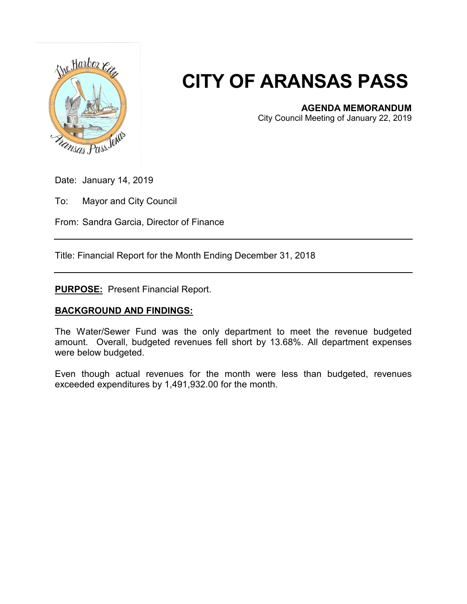

## **CITY OF ARANSAS PASS**

**AGENDA MEMORANDUM**

City Council Meeting of January 22, 2019

Date: January 14, 2019

To: Mayor and City Council

From: Sandra Garcia, Director of Finance

Title: Financial Report for the Month Ending December 31, 2018

**PURPOSE:** Present Financial Report.

## **BACKGROUND AND FINDINGS:**

The Water/Sewer Fund was the only department to meet the revenue budgeted amount. Overall, budgeted revenues fell short by 13.68%. All department expenses were below budgeted.

Even though actual revenues for the month were less than budgeted, revenues exceeded expenditures by 1,491,932.00 for the month.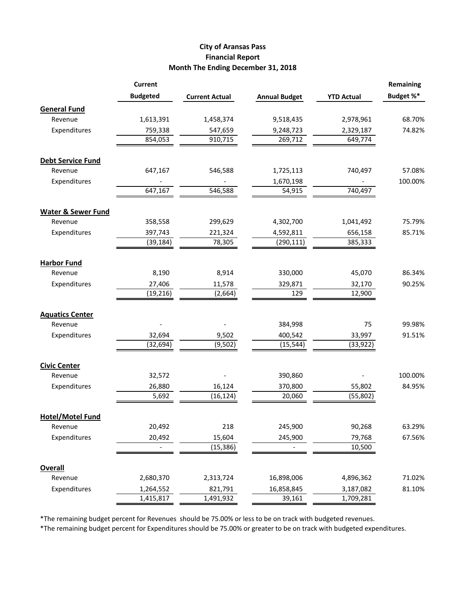## **City of Aransas Pass Financial Report Month The Ending December 31, 2018**

|                               | <b>Current</b>  |                       |                      |                   | <b>Remaining</b> |
|-------------------------------|-----------------|-----------------------|----------------------|-------------------|------------------|
|                               | <b>Budgeted</b> | <b>Current Actual</b> | <b>Annual Budget</b> | <b>YTD Actual</b> | Budget %*        |
| <b>General Fund</b>           |                 |                       |                      |                   |                  |
| Revenue                       | 1,613,391       | 1,458,374             | 9,518,435            | 2,978,961         | 68.70%           |
| Expenditures                  | 759,338         | 547,659               | 9,248,723            | 2,329,187         | 74.82%           |
|                               | 854,053         | 910,715               | 269,712              | 649,774           |                  |
| <b>Debt Service Fund</b>      |                 |                       |                      |                   |                  |
| Revenue                       | 647,167         | 546,588               | 1,725,113            | 740,497           | 57.08%           |
| Expenditures                  |                 |                       | 1,670,198            |                   | 100.00%          |
|                               | 647,167         | 546,588               | 54,915               | 740,497           |                  |
| <b>Water &amp; Sewer Fund</b> |                 |                       |                      |                   |                  |
| Revenue                       | 358,558         | 299,629               | 4,302,700            | 1,041,492         | 75.79%           |
| Expenditures                  | 397,743         | 221,324               | 4,592,811            | 656,158           | 85.71%           |
|                               | (39, 184)       | 78,305                | (290, 111)           | 385,333           |                  |
| <b>Harbor Fund</b>            |                 |                       |                      |                   |                  |
| Revenue                       | 8,190           | 8,914                 | 330,000              | 45,070            | 86.34%           |
| Expenditures                  | 27,406          | 11,578                | 329,871              | 32,170            | 90.25%           |
|                               | (19, 216)       | (2,664)               | 129                  | 12,900            |                  |
| <b>Aquatics Center</b>        |                 |                       |                      |                   |                  |
| Revenue                       |                 |                       | 384,998              | 75                | 99.98%           |
| Expenditures                  | 32,694          | 9,502                 | 400,542              | 33,997            | 91.51%           |
|                               | (32, 694)       | (9,502)               | (15, 544)            | (33, 922)         |                  |
| <b>Civic Center</b>           |                 |                       |                      |                   |                  |
| Revenue                       | 32,572          |                       | 390,860              |                   | 100.00%          |
| Expenditures                  | 26,880          | 16,124                | 370,800              | 55,802            | 84.95%           |
|                               | 5,692           | (16, 124)             | 20,060               | (55, 802)         |                  |
| <b>Hotel/Motel Fund</b>       |                 |                       |                      |                   |                  |
| Revenue                       | 20,492          | 218                   | 245,900              | 90,268            | 63.29%           |
| Expenditures                  | 20,492          | 15,604                | 245,900              | 79,768            | 67.56%           |
|                               |                 | (15, 386)             |                      | 10,500            |                  |
| <b>Overall</b>                |                 |                       |                      |                   |                  |
| Revenue                       | 2,680,370       | 2,313,724             | 16,898,006           | 4,896,362         | 71.02%           |
| Expenditures                  | 1,264,552       | 821,791               | 16,858,845           | 3,187,082         | 81.10%           |
|                               | 1,415,817       | 1,491,932             | 39,161               | 1,709,281         |                  |

\*The remaining budget percent for Revenues should be 75.00% or less to be on track with budgeted revenues.

\*The remaining budget percent for Expenditures should be 75.00% or greater to be on track with budgeted expenditures.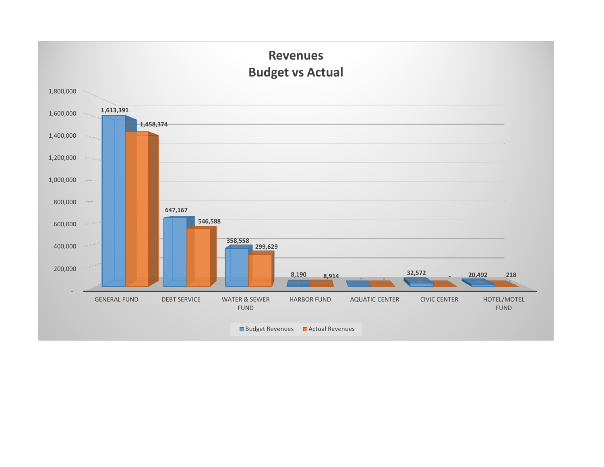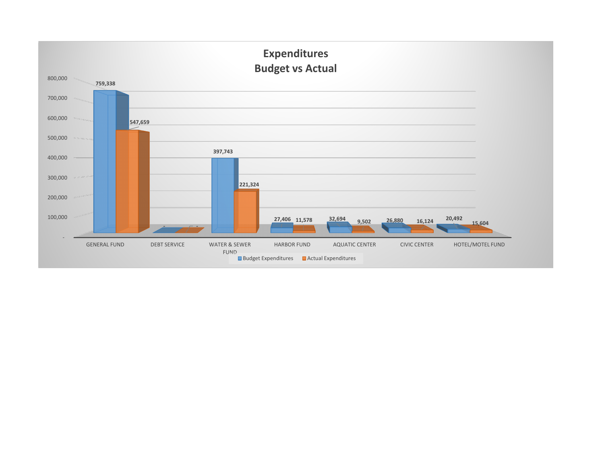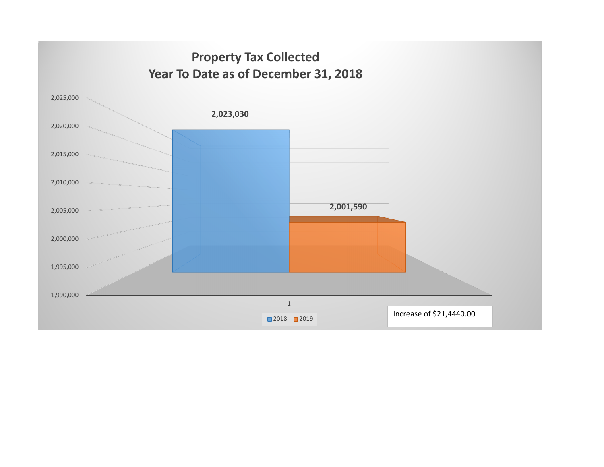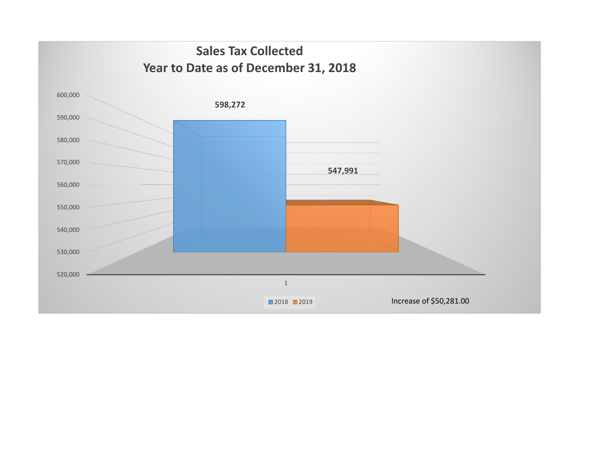